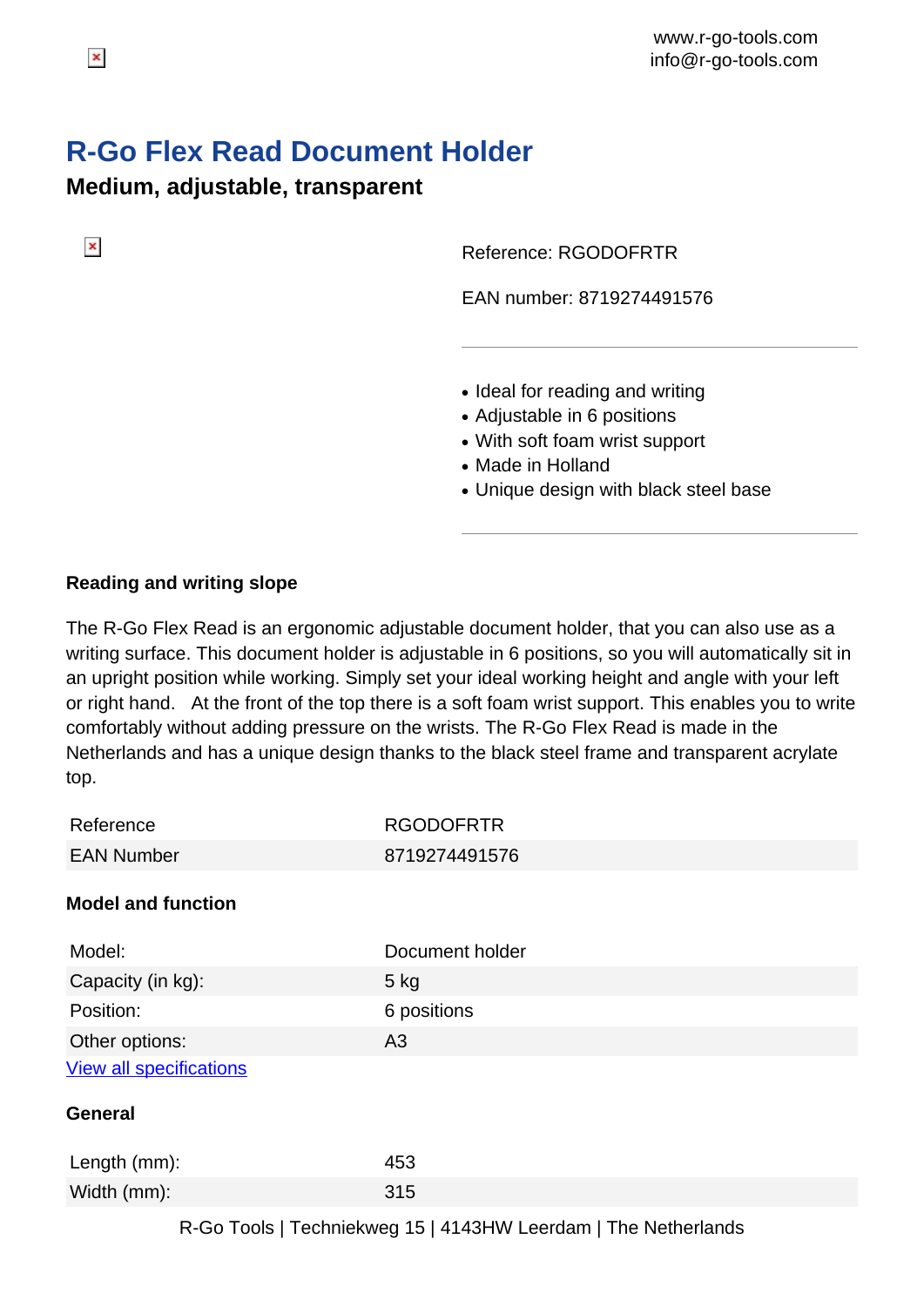## **R-Go Flex Read Document Holder**

**Medium, adjustable, transparent**

Reference: RGODOFRTR

EAN number: 8719274491576

- Ideal for reading and writing
- Adjustable in 6 positions
- With soft foam wrist support
- Made in Holland
- Unique design with black steel base

## **Reading and writing slope**

The R-Go Flex Read is an ergonomic adjustable document holder, that you can also use as a writing surface. This document holder is adjustable in 6 positions, so you will automatically sit in an upright position while working. Simply set your ideal working height and angle with your left or right hand. At the front of the top there is a soft foam wrist support. This enables you to write comfortably without adding pressure on the wrists. The R-Go Flex Read is made in the Netherlands and has a unique design thanks to the black steel frame and transparent acrylate top.

| Reference                      | <b>RGODOFRTR</b> |
|--------------------------------|------------------|
| <b>EAN Number</b>              | 8719274491576    |
| <b>Model and function</b>      |                  |
| Model:                         | Document holder  |
| Capacity (in kg):              | $5$ kg           |
| Position:                      | 6 positions      |
| Other options:                 | A3               |
| <b>View all specifications</b> |                  |
| <b>General</b>                 |                  |
| Length (mm):                   | 453              |
| Width (mm):                    | 315              |

 $\pmb{\times}$ 

R-Go Tools | Techniekweg 15 | 4143HW Leerdam | The Netherlands